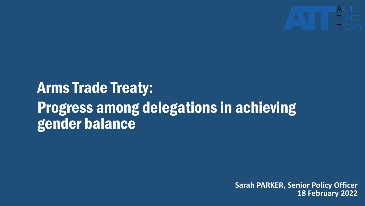

# Arms Trade Treaty: Progress among delegations in achieving gender balance

**Sarah PARKER, Senior Policy Officer 18 February 2022**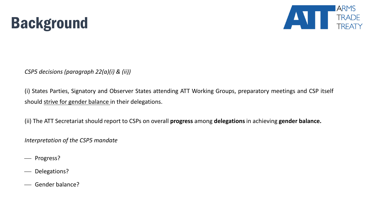



*CSP5 decisions (paragraph 22(a)(i) & (ii))*

(i) States Parties, Signatory and Observer States attending ATT Working Groups, preparatory meetings and CSP itself should strive for gender balance in their delegations.

(ii) The ATT Secretariat should report to CSPs on overall **progress** among **delegations**in achieving **gender balance.**

*Interpretation of the CSP5 mandate*

- Progress?

- Delegations?
- Gender balance?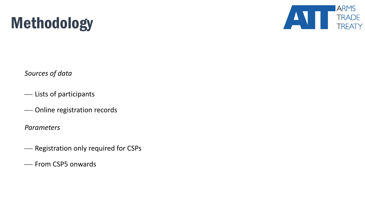



*Sources of data*

- Lists of participants
- Online registration records

*Parameters*

- Registration only required for CSPs
- From CSP5 onwards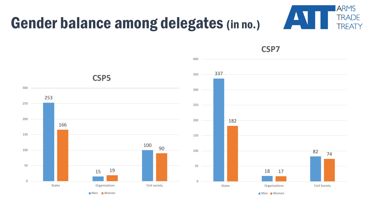



**CSP7**

**Men** Women

**Men** Women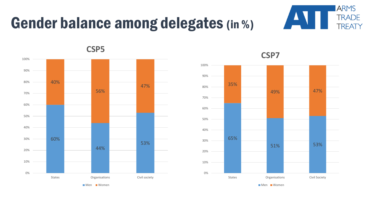# Gender balance among delegates (in %)





**CSP5**



## **CSP7**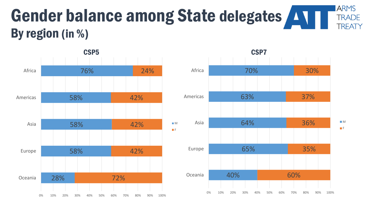### **ARMS** Gender balance among State delegates **TRADE TREATY** By region (in %)



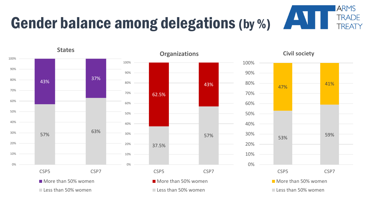### **ARMS TRADE** Gender balance among delegations (by %) **TREATY**

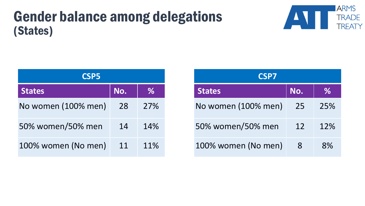## Gender balance among delegations (States)



| <b>CSP5</b>         |     |      |  |  |
|---------------------|-----|------|--|--|
| <b>States</b>       | No. | $\%$ |  |  |
| No women (100% men) | 28  | 27%  |  |  |
| 50% women/50% men   | 14  | 14%  |  |  |
| 100% women (No men) | 11  | 11%  |  |  |

| <b>CSP7</b>         |     |      |  |  |
|---------------------|-----|------|--|--|
| <b>States</b>       | No. | $\%$ |  |  |
| No women (100% men) | 25  | 25%  |  |  |
| 50% women/50% men   | 12  | 12%  |  |  |
| 100% women (No men) | 8   | 8%   |  |  |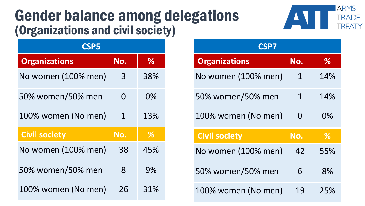## Gender balance among delegations (Organizations and civil society)



| <b>CSP5</b>          |          |               |  |  |
|----------------------|----------|---------------|--|--|
| <b>Organizations</b> | No.      | $\%$          |  |  |
| No women (100% men)  | 3        | 38%           |  |  |
| 50% women/50% men    | $\Omega$ | $0\%$         |  |  |
| 100% women (No men)  | 1        | 13%           |  |  |
| <b>Civil society</b> | No.      | $\frac{0}{0}$ |  |  |
| No women (100% men)  | 38       | 45%           |  |  |
| 50% women/50% men    | 8        | 9%            |  |  |
| 100% women (No men)  | 26       | 31%           |  |  |

| <b>CSP7</b>          |          |               |  |  |
|----------------------|----------|---------------|--|--|
| <b>Organizations</b> | No.      | %             |  |  |
| No women (100% men)  | 1        | 14%           |  |  |
| 50% women/50% men    | 1        | 14%           |  |  |
| 100% women (No men)  | $\Omega$ | 0%            |  |  |
| <b>Civil society</b> | No.      | $\frac{0}{6}$ |  |  |
| No women (100% men)  | 42       | 55%           |  |  |
| 50% women/50% men    | 6        | 8%            |  |  |
| 100% women (No men)  | 19       | 25%           |  |  |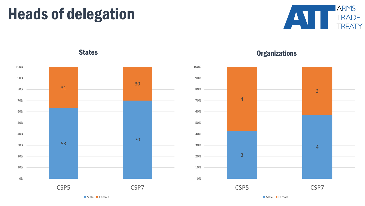# Heads of delegation





## States **Contractions** Critics **Contractions** Critics **Contractions**